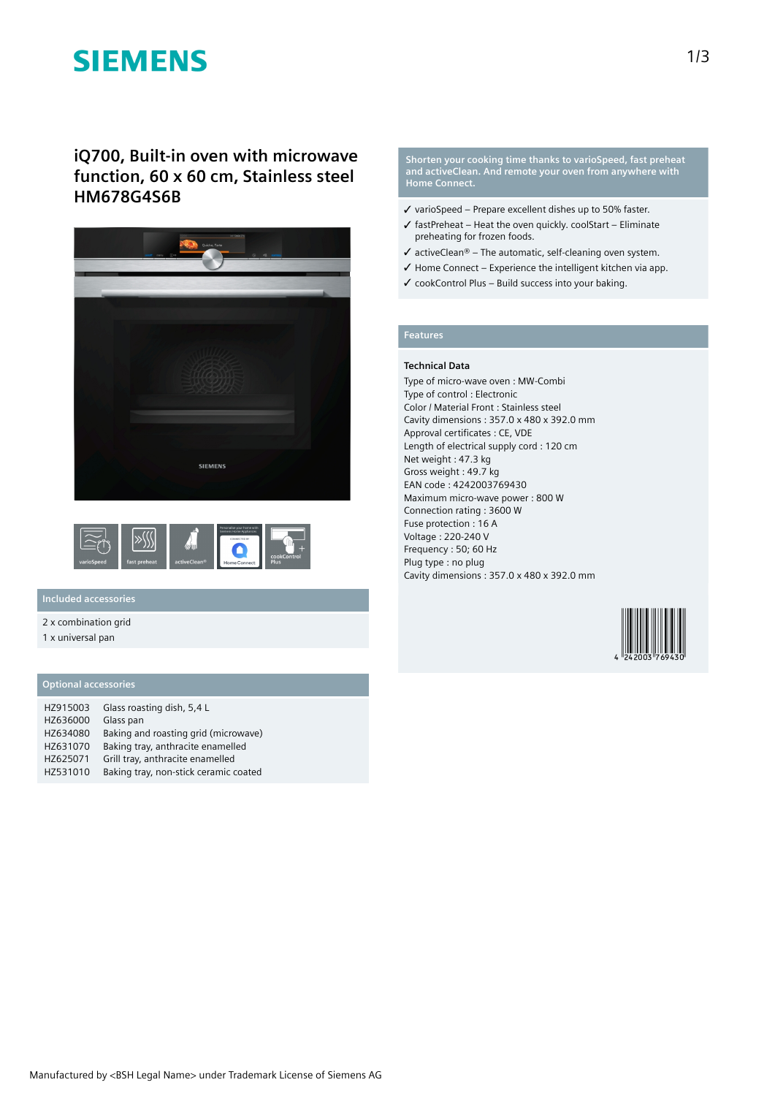# **SIEMENS**

**iQ700, Built-in oven with microwave function, 60 x 60 cm, Stainless steel HM678G4S6B**





## **Included accessories**

2 x combination grid

1 x universal pan

### **Optional accessories**

| HZ915003 | Glass roasting dish, 5,4 L            |
|----------|---------------------------------------|
| HZ636000 | Glass pan                             |
| HZ634080 | Baking and roasting grid (microwave)  |
| HZ631070 | Baking tray, anthracite enamelled     |
| HZ625071 | Grill tray, anthracite enamelled      |
| HZ531010 | Baking tray, non-stick ceramic coated |

**Shorten your cooking time thanks to varioSpeed, fast preheat and activeClean. And remote your oven from anywhere with Home Connect.**

- ✓ varioSpeed Prepare excellent dishes up to 50% faster.
- $\checkmark$  fastPreheat Heat the oven quickly. coolStart Eliminate preheating for frozen foods.
- $\checkmark$  activeClean® The automatic, self-cleaning oven system.
- $\checkmark$  Home Connect Experience the intelligent kitchen via app.
- $\checkmark$  cookControl Plus Build success into your baking.

### **Features**

#### **Technical Data**

Type of micro-wave oven : MW-Combi Type of control : Electronic Color / Material Front : Stainless steel Cavity dimensions : 357.0 x 480 x 392.0 mm Approval certificates : CE, VDE Length of electrical supply cord : 120 cm Net weight : 47.3 kg Gross weight : 49.7 kg EAN code : 4242003769430 Maximum micro-wave power : 800 W Connection rating : 3600 W Fuse protection : 16 A Voltage : 220-240 V Frequency : 50; 60 Hz Plug type : no plug Cavity dimensions : 357.0 x 480 x 392.0 mm

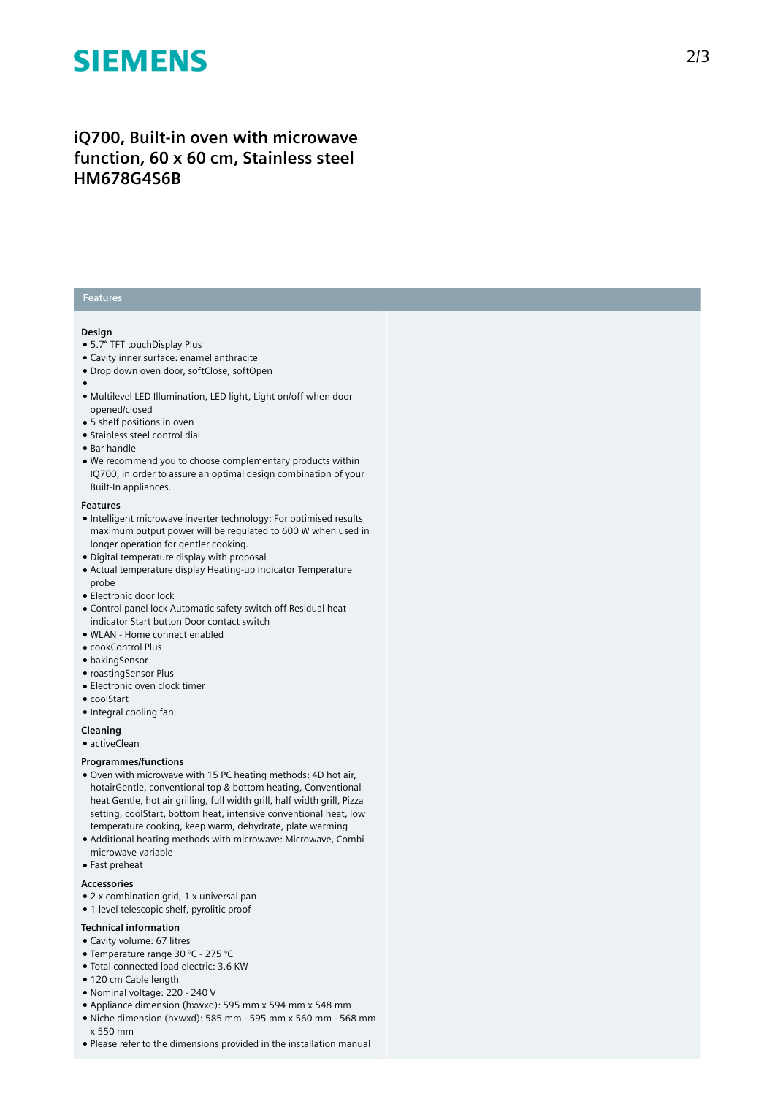# **SIEMENS**

# iQ700, Built-in oven with microwave function, 60 x 60 cm, Stainless steel **HM678G4S6B**

### **Features**

#### **Design**

- 5.7" TFT touchDisplay Plus
- Cavity inner surface: enamel anthracite
- Drop down oven door, softClose, softOpen
- 
- ●<br>● Multilevel LED Illumination, LED light, Light on/off when door opened/closed
- 5 shelf positions in oven
- Stainless steel control dial
- Bar handle
- We recommend you to choose complementary products within IQ700, in order to assure an optimal design combination of your Built-In appliances.

#### **F e a t u r e s**

- Intelligent microwave inverter technology: For optimised results maximum output power will be regulated to 600 W when used in longer operation for gentler cooking.
- Digital temperature display with proposal
- Actual temperature display Heating-up indicator Temperature p r o b e
- Electronic door lock
- Control panel lock Automatic safety switch off Residual heat indicator Start button Door contact switch
- WLAN Home connect enabled
- cookControl Plus
- bakingSensor
- roastingSensor Plus
- $\bullet$  Electronic oven clock timer
- coolStart
- Integral cooling fan

**Cleaning**

• activeClean

#### **Programmes/functions**

- Oven with microwave with 15 PC heating methods: 4D hot air, hotairGentle, conventional top & bottom heating, Conventional heat Gentle, hot air grilling, full width grill, half width grill, Pizza setting, coolStart, bottom heat, intensive conventional heat, low temperature cooking, keep warm, dehydrate, plate warming
- Additional heating methods with microwave: Microwave, Combi microwave variable
- Fast preheat

#### **A c c e s s o r i e s**

- 2 x combination grid, 1 x universal pan
- 1 level telescopic shelf, pyrolitic proof

#### **Technical information**

- Cavity volume: 67 litres
- Temperature range 30 °C 275 °C
- Total connected load electric: 3.6 KW
- 120 cm Cable length
- Nominal voltage: 220 240 V
- Appliance dimension (hxwxd): 595 mm x 594 mm x 548 mm
- Niche dimension (hxwxd): 585 mm 595 mm x 560 mm 56 8 m m x 550 mm
- Please refer to the dimensions provided in the installation manual